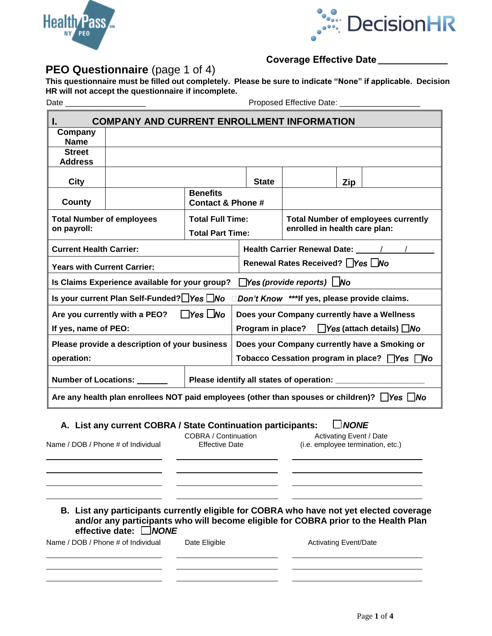



## **Coverage Effective Date \_\_\_\_\_\_\_\_\_\_\_\_\_**

### **PEO Questionnaire** (page 1 of 4) **This questionnaire must be filled out completely. Please be sure to indicate "None" if applicable. Decision HR will not accept the questionnaire if incomplete.**

Date \_\_\_\_\_\_\_\_\_\_\_\_\_\_\_\_\_\_ Proposed Effective Date: \_\_\_\_\_\_\_\_\_\_\_\_\_\_\_\_\_\_

|                                                                                                                                                     | <b>COMPANY AND CURRENT ENROLLMENT INFORMATION</b>                                                                                                                                                             |                                                    |                                                                             |                                                                                                                                                                                                                                |             |                                                                     |
|-----------------------------------------------------------------------------------------------------------------------------------------------------|---------------------------------------------------------------------------------------------------------------------------------------------------------------------------------------------------------------|----------------------------------------------------|-----------------------------------------------------------------------------|--------------------------------------------------------------------------------------------------------------------------------------------------------------------------------------------------------------------------------|-------------|---------------------------------------------------------------------|
| Company<br><b>Name</b>                                                                                                                              |                                                                                                                                                                                                               |                                                    |                                                                             |                                                                                                                                                                                                                                |             |                                                                     |
| <b>Street</b>                                                                                                                                       |                                                                                                                                                                                                               |                                                    |                                                                             |                                                                                                                                                                                                                                |             |                                                                     |
| <b>Address</b>                                                                                                                                      |                                                                                                                                                                                                               |                                                    |                                                                             |                                                                                                                                                                                                                                |             |                                                                     |
| City                                                                                                                                                |                                                                                                                                                                                                               |                                                    | <b>State</b>                                                                |                                                                                                                                                                                                                                | Zip         |                                                                     |
| County                                                                                                                                              |                                                                                                                                                                                                               | <b>Benefits</b><br><b>Contact &amp; Phone #</b>    |                                                                             |                                                                                                                                                                                                                                |             |                                                                     |
| <b>Total Number of employees</b><br>on payroll:                                                                                                     |                                                                                                                                                                                                               | <b>Total Full Time:</b><br><b>Total Part Time:</b> | <b>Total Number of employees currently</b><br>enrolled in health care plan: |                                                                                                                                                                                                                                |             |                                                                     |
| <b>Current Health Carrier:</b>                                                                                                                      |                                                                                                                                                                                                               |                                                    |                                                                             | Health Carrier Renewal Date: \Square \\ \times\) \square \cdot \square \cdot \square \cdot \square \cdot \square \square \square \square \square \square \square \square \square \square \square \square \square \square \squa |             |                                                                     |
| <b>Years with Current Carrier:</b>                                                                                                                  |                                                                                                                                                                                                               |                                                    |                                                                             | Renewal Rates Received?   Yes No                                                                                                                                                                                               |             |                                                                     |
|                                                                                                                                                     | Is Claims Experience available for your group?                                                                                                                                                                |                                                    |                                                                             | $\Box$ Yes (provide reports) $\Box$ No                                                                                                                                                                                         |             |                                                                     |
|                                                                                                                                                     | Is your current Plan Self-Funded? Yes No                                                                                                                                                                      |                                                    |                                                                             | Don't Know ***If yes, please provide claims.                                                                                                                                                                                   |             |                                                                     |
|                                                                                                                                                     | Are you currently with a PEO?                                                                                                                                                                                 | $\Box$ Yes $\Box$ No                               |                                                                             | Does your Company currently have a Wellness                                                                                                                                                                                    |             |                                                                     |
| If yes, name of PEO:                                                                                                                                |                                                                                                                                                                                                               |                                                    | Program in place?                                                           |                                                                                                                                                                                                                                |             | $\Box$ Yes (attach details) $\Box$ No                               |
|                                                                                                                                                     | Please provide a description of your business                                                                                                                                                                 |                                                    |                                                                             |                                                                                                                                                                                                                                |             | Does your Company currently have a Smoking or                       |
| operation:                                                                                                                                          |                                                                                                                                                                                                               |                                                    |                                                                             |                                                                                                                                                                                                                                |             | Tobacco Cessation program in place? □Yes □No                        |
| <b>Number of Locations:</b>                                                                                                                         |                                                                                                                                                                                                               |                                                    |                                                                             | Please identify all states of operation: _                                                                                                                                                                                     |             |                                                                     |
|                                                                                                                                                     | Are any health plan enrollees NOT paid employees (other than spouses or children)? $\Box$ Yes $\Box$ No                                                                                                       |                                                    |                                                                             |                                                                                                                                                                                                                                |             |                                                                     |
|                                                                                                                                                     |                                                                                                                                                                                                               |                                                    |                                                                             |                                                                                                                                                                                                                                | $\Box$ NONE |                                                                     |
| A. List any current COBRA / State Continuation participants:<br>COBRA / Continuation<br>Name / DOB / Phone # of Individual<br><b>Effective Date</b> |                                                                                                                                                                                                               |                                                    |                                                                             |                                                                                                                                                                                                                                |             | <b>Activating Event / Date</b><br>(i.e. employee termination, etc.) |
|                                                                                                                                                     | B. List any participants currently eligible for COBRA who have not yet elected coverage<br>and/or any participants who will become eligible for COBRA prior to the Health Plan<br>effective date: $\Box$ NONE |                                                    |                                                                             |                                                                                                                                                                                                                                |             |                                                                     |
| Name / DOB / Phone # of Individual<br>Date Eligible                                                                                                 |                                                                                                                                                                                                               |                                                    |                                                                             | <b>Activating Event/Date</b>                                                                                                                                                                                                   |             |                                                                     |
|                                                                                                                                                     |                                                                                                                                                                                                               |                                                    |                                                                             |                                                                                                                                                                                                                                |             |                                                                     |
|                                                                                                                                                     |                                                                                                                                                                                                               |                                                    |                                                                             |                                                                                                                                                                                                                                |             |                                                                     |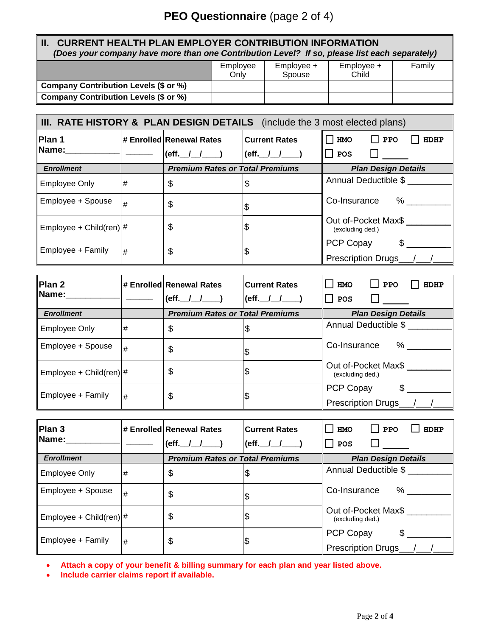# **PEO Questionnaire** (page 2 of 4)

### **II. CURRENT HEALTH PLAN EMPLOYER CONTRIBUTION INFORMATION** *(Does your company have more than one Contribution Level? If so, please list each separately)*

|                                       | Employee<br>Onlv | $Emplovee +$<br>Spouse | $Emplovee +$<br>Child | Family |
|---------------------------------------|------------------|------------------------|-----------------------|--------|
| Company Contribution Levels (\$ or %) |                  |                        |                       |        |
| Company Contribution Levels (\$ or %) |                  |                        |                       |        |

| III. RATE HISTORY & PLAN DESIGN DETAILS (include the 3 most elected plans) |   |                                             |                                                 |                                                |  |  |  |
|----------------------------------------------------------------------------|---|---------------------------------------------|-------------------------------------------------|------------------------------------------------|--|--|--|
| Plan 1<br>Name:                                                            |   | # Enrolled Renewal Rates<br>(eff. $1 - 1$ ) | <b>Current Rates</b><br>$(eff.$ $/$ $/$ $/$ $)$ | HMO<br><b>HDHP</b><br><b>PPO</b><br><b>POS</b> |  |  |  |
| <b>Enrollment</b>                                                          |   | <b>Premium Rates or Total Premiums</b>      |                                                 | <b>Plan Design Details</b>                     |  |  |  |
| <b>Employee Only</b>                                                       | # | \$                                          | \$                                              | Annual Deductible \$                           |  |  |  |
| Employee + Spouse                                                          | # | \$                                          |                                                 | Co-Insurance<br>%                              |  |  |  |
| Employee + Child(ren) $ #$                                                 |   | \$                                          |                                                 | Out of-Pocket Max\$<br>(excluding ded.)        |  |  |  |
| Employee + Family                                                          | # | \$                                          |                                                 | PCP Copay<br><b>Prescription Drugs</b>         |  |  |  |

| <b>Plan 2</b><br>Name:     |   | # Enrolled Renewal Rates<br>(eff. $1 - 1$ ) | <b>Current Rates</b><br>$(eff.$ $/$ $/$ $)$ | <b>HMO</b><br>HDHP<br><b>PPO</b><br>$\vert$   POS |
|----------------------------|---|---------------------------------------------|---------------------------------------------|---------------------------------------------------|
| <b>Enrollment</b>          |   | <b>Premium Rates or Total Premiums</b>      |                                             | <b>Plan Design Details</b>                        |
| <b>Employee Only</b>       | # | \$                                          | \$                                          | Annual Deductible \$                              |
| Employee + Spouse          | # | \$                                          | \$                                          | $\%$<br>Co-Insurance                              |
| Employee + Child(ren) $ #$ |   | \$                                          | \$                                          | Out of-Pocket Max\$<br>(excluding ded.)           |
| Employee + Family          | # | \$                                          | \$                                          | PCP Copay<br><b>Prescription Drugs</b>            |

| Plan 3<br>Name:                 |   | # Enrolled Renewal Rates<br>$ $ (eff. $ $ $ $ $ $ $ $ $ $ $ $ | <b>Current Rates</b><br>$(eff.$ $/$ $/$ $)$ | <b>HMO</b><br><b>PPO</b><br><b>HDHP</b><br>$\Box$ POS |
|---------------------------------|---|---------------------------------------------------------------|---------------------------------------------|-------------------------------------------------------|
| <b>Enrollment</b>               |   | <b>Premium Rates or Total Premiums</b>                        |                                             | <b>Plan Design Details</b>                            |
| <b>Employee Only</b>            | # | \$                                                            |                                             | Annual Deductible \$                                  |
| Employee + Spouse               | # | \$                                                            | \$                                          | Co-Insurance<br>%                                     |
| Employee + Child(ren) $\mid \#$ |   | \$                                                            | \$                                          | Out of-Pocket Max\$<br>(excluding ded.)               |
| Employee + Family               | # | \$                                                            |                                             | PCP Copay<br><b>Prescription Drugs_</b>               |

**Attach a copy of your benefit & billing summary for each plan and year listed above.**

**Include carrier claims report if available.**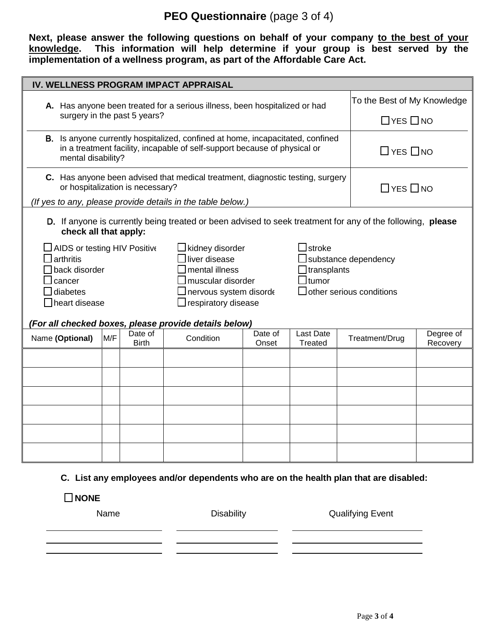## **PEO Questionnaire** (page 3 of 4)

**Next, please answer the following questions on behalf of your company to the best of your knowledge. This information will help determine if your group is best served by the implementation of a wellness program, as part of the Affordable Care Act.**

| IV. WELLNESS PROGRAM IMPACT APPRAISAL                                                                                                                                                                                                                                                                                                |                                                                                                                                                                                   |                              |                                                                                                            |                  |                      |                                                         |                             |  |
|--------------------------------------------------------------------------------------------------------------------------------------------------------------------------------------------------------------------------------------------------------------------------------------------------------------------------------------|-----------------------------------------------------------------------------------------------------------------------------------------------------------------------------------|------------------------------|------------------------------------------------------------------------------------------------------------|------------------|----------------------|---------------------------------------------------------|-----------------------------|--|
|                                                                                                                                                                                                                                                                                                                                      | A. Has anyone been treated for a serious illness, been hospitalized or had                                                                                                        |                              |                                                                                                            |                  |                      |                                                         | To the Best of My Knowledge |  |
|                                                                                                                                                                                                                                                                                                                                      |                                                                                                                                                                                   | surgery in the past 5 years? |                                                                                                            |                  | $\Box$ YES $\Box$ NO |                                                         |                             |  |
|                                                                                                                                                                                                                                                                                                                                      | B. Is anyone currently hospitalized, confined at home, incapacitated, confined<br>in a treatment facility, incapable of self-support because of physical or<br>mental disability? |                              |                                                                                                            |                  |                      |                                                         | $\Box$ YES $\Box$ NO        |  |
|                                                                                                                                                                                                                                                                                                                                      | C. Has anyone been advised that medical treatment, diagnostic testing, surgery<br>or hospitalization is necessary?<br>(If yes to any, please provide details in the table below.) |                              |                                                                                                            |                  |                      |                                                         | $\Box$ YES $\Box$ NO        |  |
| check all that apply:                                                                                                                                                                                                                                                                                                                |                                                                                                                                                                                   |                              | D. If anyone is currently being treated or been advised to seek treatment for any of the following, please |                  |                      |                                                         |                             |  |
| $\exists$ stroke<br><b>JAIDS or testing HIV Positive</b><br>⊥kidney disorder<br>arthritis<br>liver disease<br>mental illness<br>back disorder<br>]tumor<br>muscular disorder<br>cancer<br>diabetes<br>nervous system disorde<br>$\Box$ respiratory disease<br>heart disease<br>(For all checked boxes, please provide details below) |                                                                                                                                                                                   |                              |                                                                                                            |                  | transplants          | substance dependency<br>$\Box$ other serious conditions |                             |  |
| Name (Optional)                                                                                                                                                                                                                                                                                                                      | M/F                                                                                                                                                                               | Date of<br><b>Birth</b>      | Condition                                                                                                  | Date of<br>Onset | Last Date<br>Treated | Treatment/Drug                                          | Degree of<br>Recovery       |  |
|                                                                                                                                                                                                                                                                                                                                      |                                                                                                                                                                                   |                              |                                                                                                            |                  |                      |                                                         |                             |  |
|                                                                                                                                                                                                                                                                                                                                      |                                                                                                                                                                                   |                              |                                                                                                            |                  |                      |                                                         |                             |  |
|                                                                                                                                                                                                                                                                                                                                      |                                                                                                                                                                                   |                              |                                                                                                            |                  |                      |                                                         |                             |  |
|                                                                                                                                                                                                                                                                                                                                      |                                                                                                                                                                                   |                              |                                                                                                            |                  |                      |                                                         |                             |  |
|                                                                                                                                                                                                                                                                                                                                      |                                                                                                                                                                                   |                              |                                                                                                            |                  |                      |                                                         |                             |  |
|                                                                                                                                                                                                                                                                                                                                      |                                                                                                                                                                                   |                              |                                                                                                            |                  |                      |                                                         |                             |  |
|                                                                                                                                                                                                                                                                                                                                      |                                                                                                                                                                                   |                              |                                                                                                            |                  |                      |                                                         |                             |  |

#### **C. List any employees and/or dependents who are on the health plan that are disabled:**

**NONE**

Name Disability Disability Qualifying Event